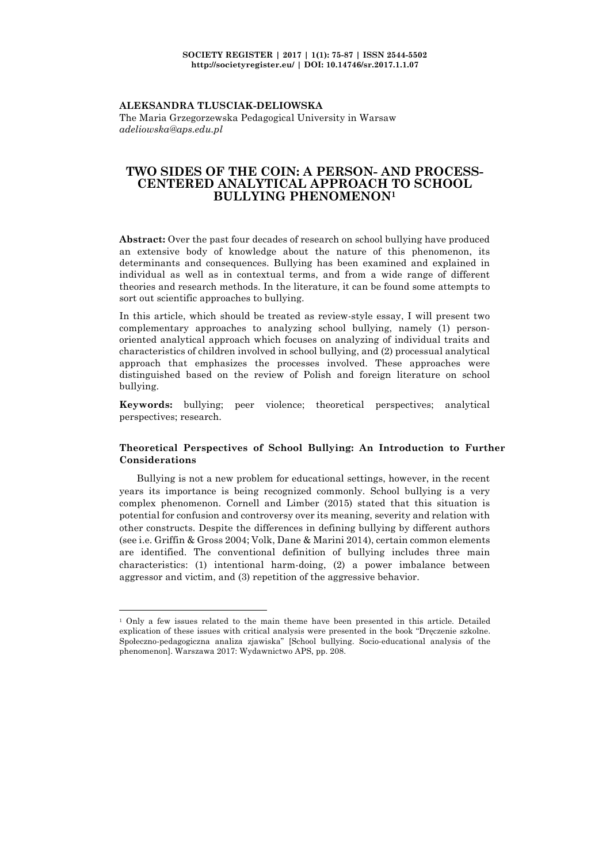## **ALEKSANDRA TLUSCIAK-DELIOWSKA**

The Maria Grzegorzewska Pedagogical University in Warsaw *adeliowska@aps.edu.pl*

# **TWO SIDES OF THE COIN: A PERSON- AND PROCESS-CENTERED ANALYTICAL APPROACH TO SCHOOL BULLYING PHENOMENON1**

**Abstract:** Over the past four decades of research on school bullying have produced an extensive body of knowledge about the nature of this phenomenon, its determinants and consequences. Bullying has been examined and explained in individual as well as in contextual terms, and from a wide range of different theories and research methods. In the literature, it can be found some attempts to sort out scientific approaches to bullying.

In this article, which should be treated as review-style essay, I will present two complementary approaches to analyzing school bullying, namely (1) personoriented analytical approach which focuses on analyzing of individual traits and characteristics of children involved in school bullying, and (2) processual analytical approach that emphasizes the processes involved. These approaches were distinguished based on the review of Polish and foreign literature on school bullying.

**Keywords:** bullying; peer violence; theoretical perspectives; analytical perspectives; research.

## **Theoretical Perspectives of School Bullying: An Introduction to Further Considerations**

Bullying is not a new problem for educational settings, however, in the recent years its importance is being recognized commonly. School bullying is a very complex phenomenon. Cornell and Limber (2015) stated that this situation is potential for confusion and controversy over its meaning, severity and relation with other constructs. Despite the differences in defining bullying by different authors (see i.e. Griffin & Gross 2004; Volk, Dane & Marini 2014), certain common elements are identified. The conventional definition of bullying includes three main characteristics: (1) intentional harm-doing, (2) a power imbalance between aggressor and victim, and (3) repetition of the aggressive behavior.

 

<sup>1</sup> Only a few issues related to the main theme have been presented in this article. Detailed explication of these issues with critical analysis were presented in the book "Dręczenie szkolne. Społeczno-pedagogiczna analiza zjawiska" [School bullying. Socio-educational analysis of the phenomenon]. Warszawa 2017: Wydawnictwo APS, pp. 208.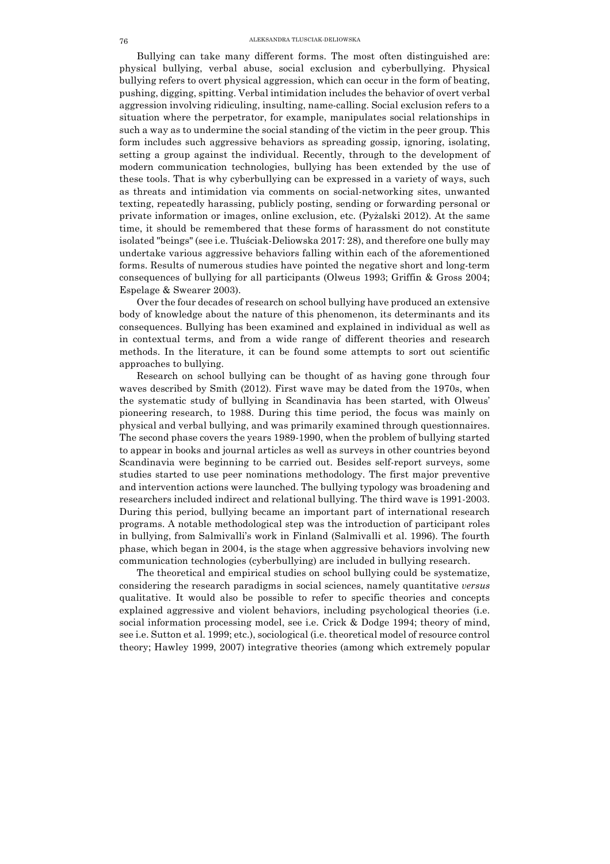Bullying can take many different forms. The most often distinguished are: physical bullying, verbal abuse, social exclusion and cyberbullying. Physical bullying refers to overt physical aggression, which can occur in the form of beating, pushing, digging, spitting. Verbal intimidation includes the behavior of overt verbal aggression involving ridiculing, insulting, name-calling. Social exclusion refers to a situation where the perpetrator, for example, manipulates social relationships in such a way as to undermine the social standing of the victim in the peer group. This form includes such aggressive behaviors as spreading gossip, ignoring, isolating, setting a group against the individual. Recently, through to the development of modern communication technologies, bullying has been extended by the use of these tools. That is why cyberbullying can be expressed in a variety of ways, such as threats and intimidation via comments on social-networking sites, unwanted texting, repeatedly harassing, publicly posting, sending or forwarding personal or private information or images, online exclusion, etc. (Pyżalski 2012). At the same time, it should be remembered that these forms of harassment do not constitute isolated "beings" (see i.e. Tłuściak-Deliowska 2017: 28), and therefore one bully may undertake various aggressive behaviors falling within each of the aforementioned forms. Results of numerous studies have pointed the negative short and long-term consequences of bullying for all participants (Olweus 1993; Griffin & Gross 2004; Espelage & Swearer 2003).

Over the four decades of research on school bullying have produced an extensive body of knowledge about the nature of this phenomenon, its determinants and its consequences. Bullying has been examined and explained in individual as well as in contextual terms, and from a wide range of different theories and research methods. In the literature, it can be found some attempts to sort out scientific approaches to bullying.

Research on school bullying can be thought of as having gone through four waves described by Smith (2012). First wave may be dated from the 1970s, when the systematic study of bullying in Scandinavia has been started, with Olweus' pioneering research, to 1988. During this time period, the focus was mainly on physical and verbal bullying, and was primarily examined through questionnaires. The second phase covers the years 1989-1990, when the problem of bullying started to appear in books and journal articles as well as surveys in other countries beyond Scandinavia were beginning to be carried out. Besides self-report surveys, some studies started to use peer nominations methodology. The first major preventive and intervention actions were launched. The bullying typology was broadening and researchers included indirect and relational bullying. The third wave is 1991-2003. During this period, bullying became an important part of international research programs. A notable methodological step was the introduction of participant roles in bullying, from Salmivalli's work in Finland (Salmivalli et al. 1996). The fourth phase, which began in 2004, is the stage when aggressive behaviors involving new communication technologies (cyberbullying) are included in bullying research.

The theoretical and empirical studies on school bullying could be systematize, considering the research paradigms in social sciences, namely quantitative *versus* qualitative. It would also be possible to refer to specific theories and concepts explained aggressive and violent behaviors, including psychological theories (i.e. social information processing model, see i.e. Crick & Dodge 1994; theory of mind, see i.e. Sutton et al. 1999; etc.), sociological (i.e. theoretical model of resource control theory; Hawley 1999, 2007) integrative theories (among which extremely popular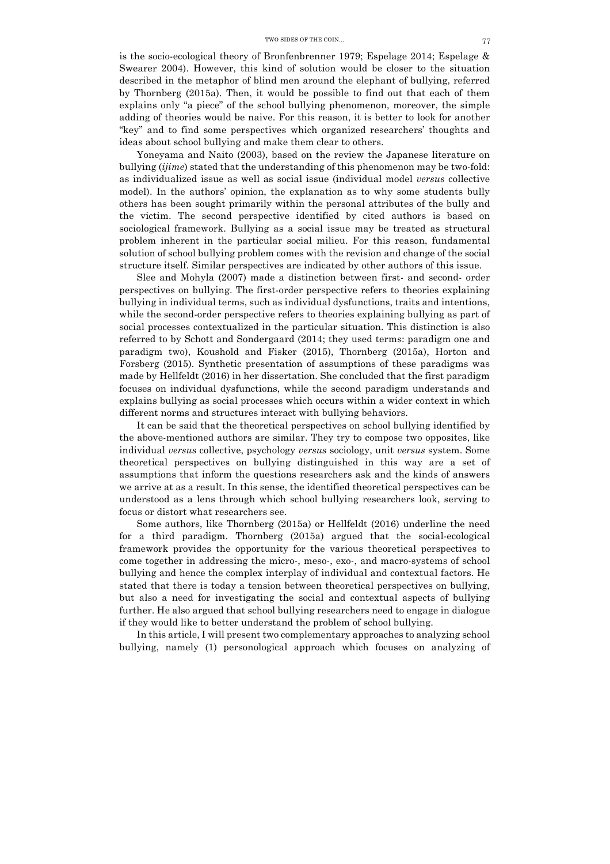is the socio-ecological theory of Bronfenbrenner 1979; Espelage 2014; Espelage & Swearer 2004). However, this kind of solution would be closer to the situation described in the metaphor of blind men around the elephant of bullying, referred by Thornberg (2015a). Then, it would be possible to find out that each of them explains only "a piece" of the school bullying phenomenon, moreover, the simple adding of theories would be naive. For this reason, it is better to look for another "key" and to find some perspectives which organized researchers' thoughts and ideas about school bullying and make them clear to others.

Yoneyama and Naito (2003), based on the review the Japanese literature on bullying (*ijime*) stated that the understanding of this phenomenon may be two-fold: as individualized issue as well as social issue (individual model *versus* collective model). In the authors' opinion, the explanation as to why some students bully others has been sought primarily within the personal attributes of the bully and the victim. The second perspective identified by cited authors is based on sociological framework. Bullying as a social issue may be treated as structural problem inherent in the particular social milieu. For this reason, fundamental solution of school bullying problem comes with the revision and change of the social structure itself. Similar perspectives are indicated by other authors of this issue.

Slee and Mohyla (2007) made a distinction between first- and second- order perspectives on bullying. The first-order perspective refers to theories explaining bullying in individual terms, such as individual dysfunctions, traits and intentions, while the second-order perspective refers to theories explaining bullying as part of social processes contextualized in the particular situation. This distinction is also referred to by Schott and Sondergaard (2014; they used terms: paradigm one and paradigm two), Koushold and Fisker (2015), Thornberg (2015a), Horton and Forsberg (2015). Synthetic presentation of assumptions of these paradigms was made by Hellfeldt (2016) in her dissertation. She concluded that the first paradigm focuses on individual dysfunctions, while the second paradigm understands and explains bullying as social processes which occurs within a wider context in which different norms and structures interact with bullying behaviors.

It can be said that the theoretical perspectives on school bullying identified by the above-mentioned authors are similar. They try to compose two opposites, like individual *versus* collective, psychology *versus* sociology, unit *versus* system. Some theoretical perspectives on bullying distinguished in this way are a set of assumptions that inform the questions researchers ask and the kinds of answers we arrive at as a result. In this sense, the identified theoretical perspectives can be understood as a lens through which school bullying researchers look, serving to focus or distort what researchers see.

Some authors, like Thornberg (2015a) or Hellfeldt (2016) underline the need for a third paradigm. Thornberg (2015a) argued that the social-ecological framework provides the opportunity for the various theoretical perspectives to come together in addressing the micro-, meso-, exo-, and macro-systems of school bullying and hence the complex interplay of individual and contextual factors. He stated that there is today a tension between theoretical perspectives on bullying, but also a need for investigating the social and contextual aspects of bullying further. He also argued that school bullying researchers need to engage in dialogue if they would like to better understand the problem of school bullying.

In this article, I will present two complementary approaches to analyzing school bullying, namely (1) personological approach which focuses on analyzing of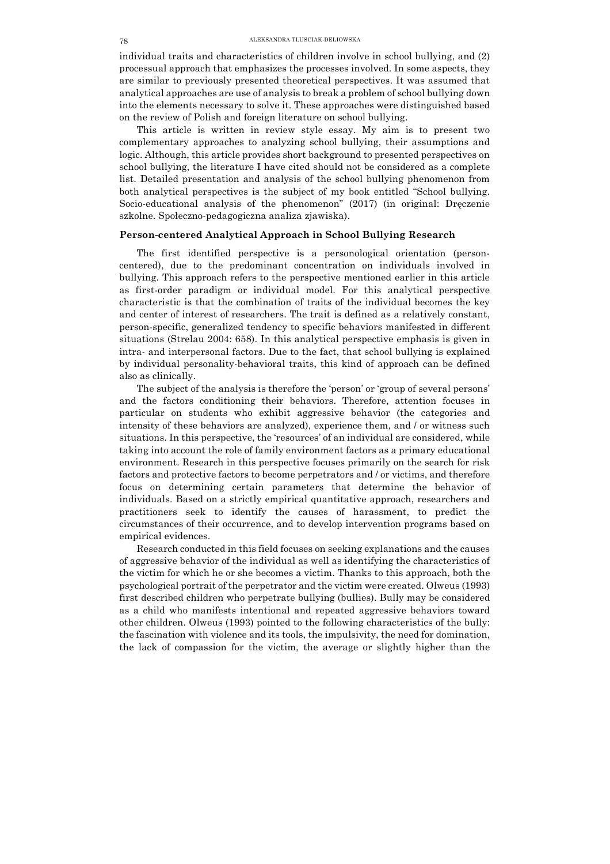individual traits and characteristics of children involve in school bullying, and (2) processual approach that emphasizes the processes involved. In some aspects, they are similar to previously presented theoretical perspectives. It was assumed that analytical approaches are use of analysis to break a problem of school bullying down into the elements necessary to solve it. These approaches were distinguished based on the review of Polish and foreign literature on school bullying.

This article is written in review style essay. My aim is to present two complementary approaches to analyzing school bullying, their assumptions and logic. Although, this article provides short background to presented perspectives on school bullying, the literature I have cited should not be considered as a complete list. Detailed presentation and analysis of the school bullying phenomenon from both analytical perspectives is the subject of my book entitled "School bullying. Socio-educational analysis of the phenomenon" (2017) (in original: Dręczenie szkolne. Społeczno-pedagogiczna analiza zjawiska).

## **Person-centered Analytical Approach in School Bullying Research**

The first identified perspective is a personological orientation (personcentered), due to the predominant concentration on individuals involved in bullying. This approach refers to the perspective mentioned earlier in this article as first-order paradigm or individual model. For this analytical perspective characteristic is that the combination of traits of the individual becomes the key and center of interest of researchers. The trait is defined as a relatively constant, person-specific, generalized tendency to specific behaviors manifested in different situations (Strelau 2004: 658). In this analytical perspective emphasis is given in intra- and interpersonal factors. Due to the fact, that school bullying is explained by individual personality-behavioral traits, this kind of approach can be defined also as clinically.

The subject of the analysis is therefore the 'person' or 'group of several persons' and the factors conditioning their behaviors. Therefore, attention focuses in particular on students who exhibit aggressive behavior (the categories and intensity of these behaviors are analyzed), experience them, and / or witness such situations. In this perspective, the 'resources' of an individual are considered, while taking into account the role of family environment factors as a primary educational environment. Research in this perspective focuses primarily on the search for risk factors and protective factors to become perpetrators and / or victims, and therefore focus on determining certain parameters that determine the behavior of individuals. Based on a strictly empirical quantitative approach, researchers and practitioners seek to identify the causes of harassment, to predict the circumstances of their occurrence, and to develop intervention programs based on empirical evidences.

Research conducted in this field focuses on seeking explanations and the causes of aggressive behavior of the individual as well as identifying the characteristics of the victim for which he or she becomes a victim. Thanks to this approach, both the psychological portrait of the perpetrator and the victim were created. Olweus (1993) first described children who perpetrate bullying (bullies). Bully may be considered as a child who manifests intentional and repeated aggressive behaviors toward other children. Olweus (1993) pointed to the following characteristics of the bully: the fascination with violence and its tools, the impulsivity, the need for domination, the lack of compassion for the victim, the average or slightly higher than the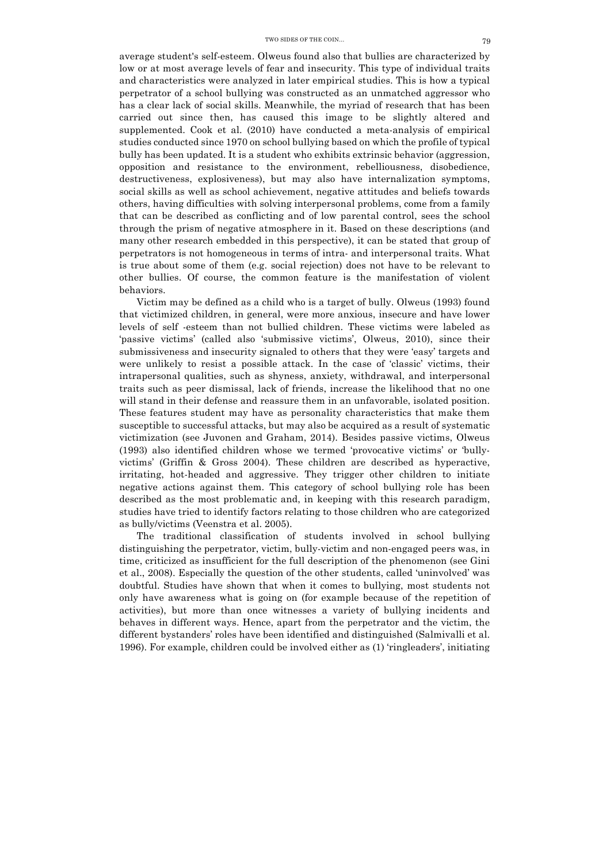average student's self-esteem. Olweus found also that bullies are characterized by low or at most average levels of fear and insecurity. This type of individual traits and characteristics were analyzed in later empirical studies. This is how a typical perpetrator of a school bullying was constructed as an unmatched aggressor who has a clear lack of social skills. Meanwhile, the myriad of research that has been carried out since then, has caused this image to be slightly altered and supplemented. Cook et al. (2010) have conducted a meta-analysis of empirical studies conducted since 1970 on school bullying based on which the profile of typical bully has been updated. It is a student who exhibits extrinsic behavior (aggression, opposition and resistance to the environment, rebelliousness, disobedience, destructiveness, explosiveness), but may also have internalization symptoms, social skills as well as school achievement, negative attitudes and beliefs towards others, having difficulties with solving interpersonal problems, come from a family that can be described as conflicting and of low parental control, sees the school through the prism of negative atmosphere in it. Based on these descriptions (and many other research embedded in this perspective), it can be stated that group of perpetrators is not homogeneous in terms of intra- and interpersonal traits. What is true about some of them (e.g. social rejection) does not have to be relevant to other bullies. Of course, the common feature is the manifestation of violent behaviors.

Victim may be defined as a child who is a target of bully. Olweus (1993) found that victimized children, in general, were more anxious, insecure and have lower levels of self -esteem than not bullied children. These victims were labeled as 'passive victims' (called also 'submissive victims', Olweus, 2010), since their submissiveness and insecurity signaled to others that they were 'easy' targets and were unlikely to resist a possible attack. In the case of 'classic' victims, their intrapersonal qualities, such as shyness, anxiety, withdrawal, and interpersonal traits such as peer dismissal, lack of friends, increase the likelihood that no one will stand in their defense and reassure them in an unfavorable, isolated position. These features student may have as personality characteristics that make them susceptible to successful attacks, but may also be acquired as a result of systematic victimization (see Juvonen and Graham, 2014). Besides passive victims, Olweus (1993) also identified children whose we termed 'provocative victims' or 'bullyvictims' (Griffin & Gross 2004). These children are described as hyperactive, irritating, hot-headed and aggressive. They trigger other children to initiate negative actions against them. This category of school bullying role has been described as the most problematic and, in keeping with this research paradigm, studies have tried to identify factors relating to those children who are categorized as bully/victims (Veenstra et al. 2005).

The traditional classification of students involved in school bullying distinguishing the perpetrator, victim, bully-victim and non-engaged peers was, in time, criticized as insufficient for the full description of the phenomenon (see Gini et al., 2008). Especially the question of the other students, called 'uninvolved' was doubtful. Studies have shown that when it comes to bullying, most students not only have awareness what is going on (for example because of the repetition of activities), but more than once witnesses a variety of bullying incidents and behaves in different ways. Hence, apart from the perpetrator and the victim, the different bystanders' roles have been identified and distinguished (Salmivalli et al. 1996). For example, children could be involved either as (1) 'ringleaders', initiating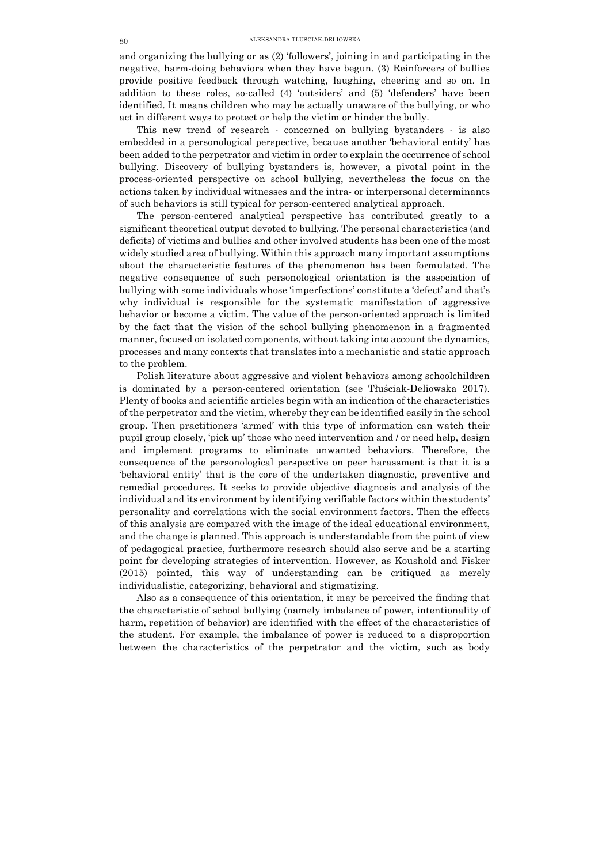and organizing the bullying or as (2) 'followers', joining in and participating in the negative, harm-doing behaviors when they have begun. (3) Reinforcers of bullies provide positive feedback through watching, laughing, cheering and so on. In addition to these roles, so-called (4) 'outsiders' and (5) 'defenders' have been identified. It means children who may be actually unaware of the bullying, or who act in different ways to protect or help the victim or hinder the bully.

This new trend of research - concerned on bullying bystanders - is also embedded in a personological perspective, because another 'behavioral entity' has been added to the perpetrator and victim in order to explain the occurrence of school bullying. Discovery of bullying bystanders is, however, a pivotal point in the process-oriented perspective on school bullying, nevertheless the focus on the actions taken by individual witnesses and the intra- or interpersonal determinants of such behaviors is still typical for person-centered analytical approach.

The person-centered analytical perspective has contributed greatly to a significant theoretical output devoted to bullying. The personal characteristics (and deficits) of victims and bullies and other involved students has been one of the most widely studied area of bullying. Within this approach many important assumptions about the characteristic features of the phenomenon has been formulated. The negative consequence of such personological orientation is the association of bullying with some individuals whose 'imperfections' constitute a 'defect' and that's why individual is responsible for the systematic manifestation of aggressive behavior or become a victim. The value of the person-oriented approach is limited by the fact that the vision of the school bullying phenomenon in a fragmented manner, focused on isolated components, without taking into account the dynamics, processes and many contexts that translates into a mechanistic and static approach to the problem.

Polish literature about aggressive and violent behaviors among schoolchildren is dominated by a person-centered orientation (see Tłuściak-Deliowska 2017). Plenty of books and scientific articles begin with an indication of the characteristics of the perpetrator and the victim, whereby they can be identified easily in the school group. Then practitioners 'armed' with this type of information can watch their pupil group closely, 'pick up' those who need intervention and / or need help, design and implement programs to eliminate unwanted behaviors. Therefore, the consequence of the personological perspective on peer harassment is that it is a 'behavioral entity' that is the core of the undertaken diagnostic, preventive and remedial procedures. It seeks to provide objective diagnosis and analysis of the individual and its environment by identifying verifiable factors within the students' personality and correlations with the social environment factors. Then the effects of this analysis are compared with the image of the ideal educational environment, and the change is planned. This approach is understandable from the point of view of pedagogical practice, furthermore research should also serve and be a starting point for developing strategies of intervention. However, as Koushold and Fisker (2015) pointed, this way of understanding can be critiqued as merely individualistic, categorizing, behavioral and stigmatizing.

Also as a consequence of this orientation, it may be perceived the finding that the characteristic of school bullying (namely imbalance of power, intentionality of harm, repetition of behavior) are identified with the effect of the characteristics of the student. For example, the imbalance of power is reduced to a disproportion between the characteristics of the perpetrator and the victim, such as body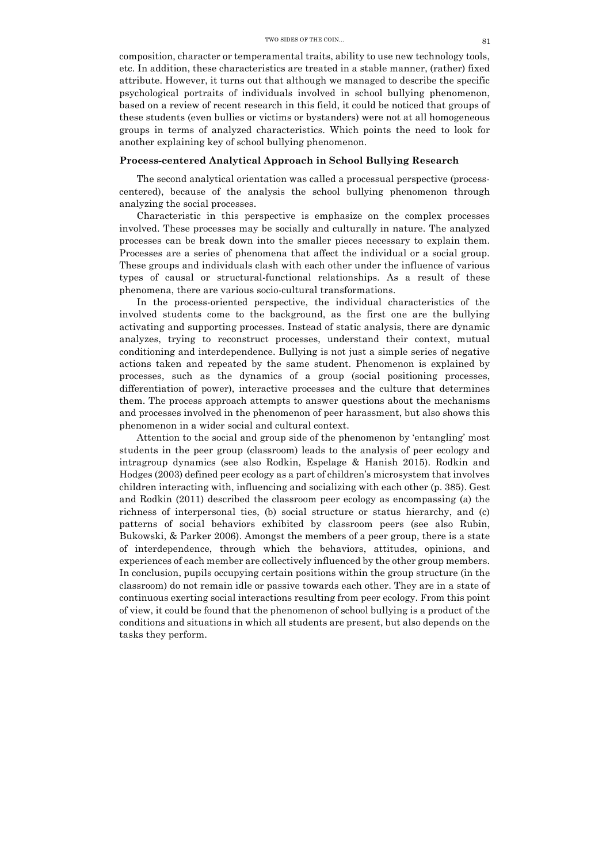composition, character or temperamental traits, ability to use new technology tools, etc. In addition, these characteristics are treated in a stable manner, (rather) fixed attribute. However, it turns out that although we managed to describe the specific psychological portraits of individuals involved in school bullying phenomenon, based on a review of recent research in this field, it could be noticed that groups of these students (even bullies or victims or bystanders) were not at all homogeneous groups in terms of analyzed characteristics. Which points the need to look for another explaining key of school bullying phenomenon.

#### **Process-centered Analytical Approach in School Bullying Research**

The second analytical orientation was called a processual perspective (processcentered), because of the analysis the school bullying phenomenon through analyzing the social processes.

Characteristic in this perspective is emphasize on the complex processes involved. These processes may be socially and culturally in nature. The analyzed processes can be break down into the smaller pieces necessary to explain them. Processes are a series of phenomena that affect the individual or a social group. These groups and individuals clash with each other under the influence of various types of causal or structural-functional relationships. As a result of these phenomena, there are various socio-cultural transformations.

In the process-oriented perspective, the individual characteristics of the involved students come to the background, as the first one are the bullying activating and supporting processes. Instead of static analysis, there are dynamic analyzes, trying to reconstruct processes, understand their context, mutual conditioning and interdependence. Bullying is not just a simple series of negative actions taken and repeated by the same student. Phenomenon is explained by processes, such as the dynamics of a group (social positioning processes, differentiation of power), interactive processes and the culture that determines them. The process approach attempts to answer questions about the mechanisms and processes involved in the phenomenon of peer harassment, but also shows this phenomenon in a wider social and cultural context.

Attention to the social and group side of the phenomenon by 'entangling' most students in the peer group (classroom) leads to the analysis of peer ecology and intragroup dynamics (see also Rodkin, Espelage & Hanish 2015). Rodkin and Hodges (2003) defined peer ecology as a part of children's microsystem that involves children interacting with, influencing and socializing with each other (p. 385). Gest and Rodkin (2011) described the classroom peer ecology as encompassing (a) the richness of interpersonal ties, (b) social structure or status hierarchy, and (c) patterns of social behaviors exhibited by classroom peers (see also Rubin, Bukowski, & Parker 2006). Amongst the members of a peer group, there is a state of interdependence, through which the behaviors, attitudes, opinions, and experiences of each member are collectively influenced by the other group members. In conclusion, pupils occupying certain positions within the group structure (in the classroom) do not remain idle or passive towards each other. They are in a state of continuous exerting social interactions resulting from peer ecology. From this point of view, it could be found that the phenomenon of school bullying is a product of the conditions and situations in which all students are present, but also depends on the tasks they perform.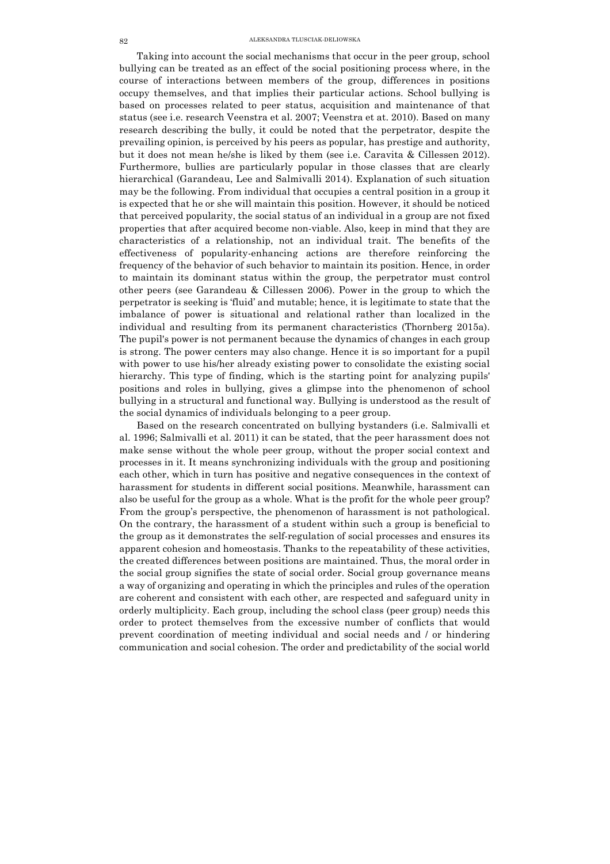## 82 ALEKSANDRA TLUSCIAK-DELIOWSKA

Taking into account the social mechanisms that occur in the peer group, school bullying can be treated as an effect of the social positioning process where, in the course of interactions between members of the group, differences in positions occupy themselves, and that implies their particular actions. School bullying is based on processes related to peer status, acquisition and maintenance of that status (see i.e. research Veenstra et al. 2007; Veenstra et at. 2010). Based on many research describing the bully, it could be noted that the perpetrator, despite the prevailing opinion, is perceived by his peers as popular, has prestige and authority, but it does not mean he/she is liked by them (see i.e. Caravita & Cillessen 2012). Furthermore, bullies are particularly popular in those classes that are clearly hierarchical (Garandeau, Lee and Salmivalli 2014). Explanation of such situation may be the following. From individual that occupies a central position in a group it is expected that he or she will maintain this position. However, it should be noticed that perceived popularity, the social status of an individual in a group are not fixed properties that after acquired become non-viable. Also, keep in mind that they are characteristics of a relationship, not an individual trait. The benefits of the effectiveness of popularity-enhancing actions are therefore reinforcing the frequency of the behavior of such behavior to maintain its position. Hence, in order to maintain its dominant status within the group, the perpetrator must control other peers (see Garandeau & Cillessen 2006). Power in the group to which the perpetrator is seeking is 'fluid' and mutable; hence, it is legitimate to state that the imbalance of power is situational and relational rather than localized in the individual and resulting from its permanent characteristics (Thornberg 2015a). The pupil's power is not permanent because the dynamics of changes in each group is strong. The power centers may also change. Hence it is so important for a pupil with power to use his/her already existing power to consolidate the existing social hierarchy. This type of finding, which is the starting point for analyzing pupils' positions and roles in bullying, gives a glimpse into the phenomenon of school bullying in a structural and functional way. Bullying is understood as the result of the social dynamics of individuals belonging to a peer group.

Based on the research concentrated on bullying bystanders (i.e. Salmivalli et al. 1996; Salmivalli et al. 2011) it can be stated, that the peer harassment does not make sense without the whole peer group, without the proper social context and processes in it. It means synchronizing individuals with the group and positioning each other, which in turn has positive and negative consequences in the context of harassment for students in different social positions. Meanwhile, harassment can also be useful for the group as a whole. What is the profit for the whole peer group? From the group's perspective, the phenomenon of harassment is not pathological. On the contrary, the harassment of a student within such a group is beneficial to the group as it demonstrates the self-regulation of social processes and ensures its apparent cohesion and homeostasis. Thanks to the repeatability of these activities, the created differences between positions are maintained. Thus, the moral order in the social group signifies the state of social order. Social group governance means a way of organizing and operating in which the principles and rules of the operation are coherent and consistent with each other, are respected and safeguard unity in orderly multiplicity. Each group, including the school class (peer group) needs this order to protect themselves from the excessive number of conflicts that would prevent coordination of meeting individual and social needs and / or hindering communication and social cohesion. The order and predictability of the social world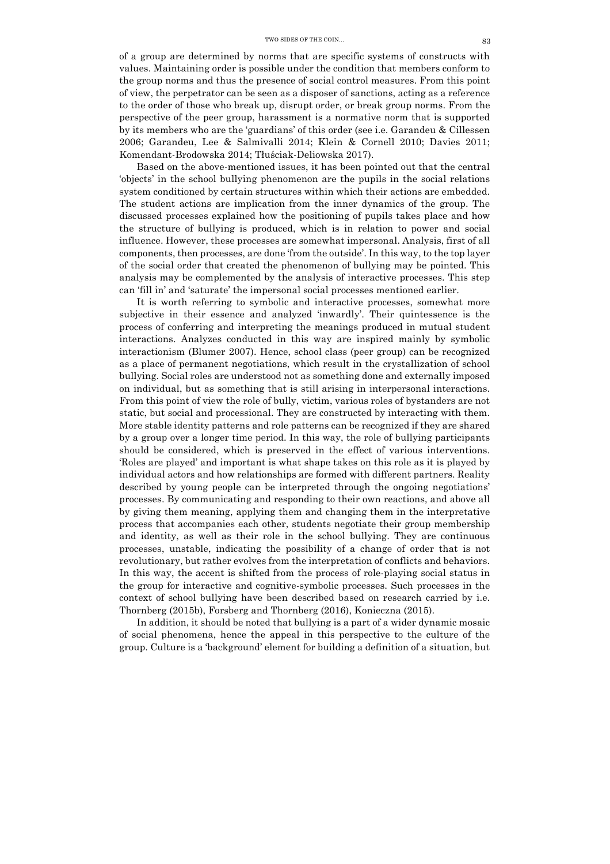of a group are determined by norms that are specific systems of constructs with values. Maintaining order is possible under the condition that members conform to the group norms and thus the presence of social control measures. From this point of view, the perpetrator can be seen as a disposer of sanctions, acting as a reference to the order of those who break up, disrupt order, or break group norms. From the perspective of the peer group, harassment is a normative norm that is supported by its members who are the 'guardians' of this order (see i.e. Garandeu & Cillessen 2006; Garandeu, Lee & Salmivalli 2014; Klein & Cornell 2010; Davies 2011; Komendant-Brodowska 2014; Tłuściak-Deliowska 2017).

Based on the above-mentioned issues, it has been pointed out that the central 'objects' in the school bullying phenomenon are the pupils in the social relations system conditioned by certain structures within which their actions are embedded. The student actions are implication from the inner dynamics of the group. The discussed processes explained how the positioning of pupils takes place and how the structure of bullying is produced, which is in relation to power and social influence. However, these processes are somewhat impersonal. Analysis, first of all components, then processes, are done 'from the outside'. In this way, to the top layer of the social order that created the phenomenon of bullying may be pointed. This analysis may be complemented by the analysis of interactive processes. This step can 'fill in' and 'saturate' the impersonal social processes mentioned earlier.

It is worth referring to symbolic and interactive processes, somewhat more subjective in their essence and analyzed 'inwardly'. Their quintessence is the process of conferring and interpreting the meanings produced in mutual student interactions. Analyzes conducted in this way are inspired mainly by symbolic interactionism (Blumer 2007). Hence, school class (peer group) can be recognized as a place of permanent negotiations, which result in the crystallization of school bullying. Social roles are understood not as something done and externally imposed on individual, but as something that is still arising in interpersonal interactions. From this point of view the role of bully, victim, various roles of bystanders are not static, but social and processional. They are constructed by interacting with them. More stable identity patterns and role patterns can be recognized if they are shared by a group over a longer time period. In this way, the role of bullying participants should be considered, which is preserved in the effect of various interventions. 'Roles are played' and important is what shape takes on this role as it is played by individual actors and how relationships are formed with different partners. Reality described by young people can be interpreted through the ongoing negotiations' processes. By communicating and responding to their own reactions, and above all by giving them meaning, applying them and changing them in the interpretative process that accompanies each other, students negotiate their group membership and identity, as well as their role in the school bullying. They are continuous processes, unstable, indicating the possibility of a change of order that is not revolutionary, but rather evolves from the interpretation of conflicts and behaviors. In this way, the accent is shifted from the process of role-playing social status in the group for interactive and cognitive-symbolic processes. Such processes in the context of school bullying have been described based on research carried by i.e. Thornberg (2015b), Forsberg and Thornberg (2016), Konieczna (2015).

In addition, it should be noted that bullying is a part of a wider dynamic mosaic of social phenomena, hence the appeal in this perspective to the culture of the group. Culture is a 'background' element for building a definition of a situation, but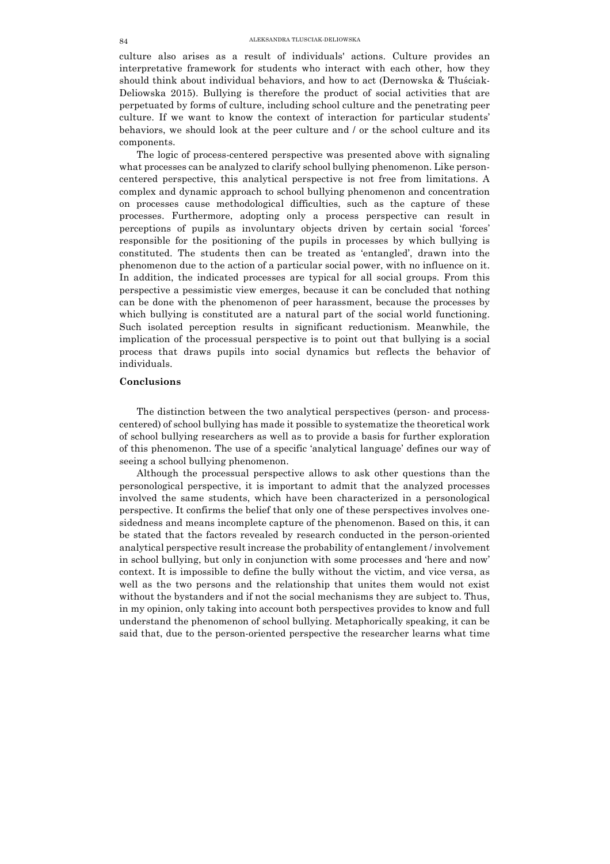culture also arises as a result of individuals' actions. Culture provides an interpretative framework for students who interact with each other, how they should think about individual behaviors, and how to act (Dernowska & Tłuściak-Deliowska 2015). Bullying is therefore the product of social activities that are perpetuated by forms of culture, including school culture and the penetrating peer culture. If we want to know the context of interaction for particular students' behaviors, we should look at the peer culture and / or the school culture and its components.

The logic of process-centered perspective was presented above with signaling what processes can be analyzed to clarify school bullying phenomenon. Like personcentered perspective, this analytical perspective is not free from limitations. A complex and dynamic approach to school bullying phenomenon and concentration on processes cause methodological difficulties, such as the capture of these processes. Furthermore, adopting only a process perspective can result in perceptions of pupils as involuntary objects driven by certain social 'forces' responsible for the positioning of the pupils in processes by which bullying is constituted. The students then can be treated as 'entangled', drawn into the phenomenon due to the action of a particular social power, with no influence on it. In addition, the indicated processes are typical for all social groups. From this perspective a pessimistic view emerges, because it can be concluded that nothing can be done with the phenomenon of peer harassment, because the processes by which bullying is constituted are a natural part of the social world functioning. Such isolated perception results in significant reductionism. Meanwhile, the implication of the processual perspective is to point out that bullying is a social process that draws pupils into social dynamics but reflects the behavior of individuals.

## **Conclusions**

The distinction between the two analytical perspectives (person- and processcentered) of school bullying has made it possible to systematize the theoretical work of school bullying researchers as well as to provide a basis for further exploration of this phenomenon. The use of a specific 'analytical language' defines our way of seeing a school bullying phenomenon.

Although the processual perspective allows to ask other questions than the personological perspective, it is important to admit that the analyzed processes involved the same students, which have been characterized in a personological perspective. It confirms the belief that only one of these perspectives involves onesidedness and means incomplete capture of the phenomenon. Based on this, it can be stated that the factors revealed by research conducted in the person-oriented analytical perspective result increase the probability of entanglement / involvement in school bullying, but only in conjunction with some processes and 'here and now' context. It is impossible to define the bully without the victim, and vice versa, as well as the two persons and the relationship that unites them would not exist without the bystanders and if not the social mechanisms they are subject to. Thus, in my opinion, only taking into account both perspectives provides to know and full understand the phenomenon of school bullying. Metaphorically speaking, it can be said that, due to the person-oriented perspective the researcher learns what time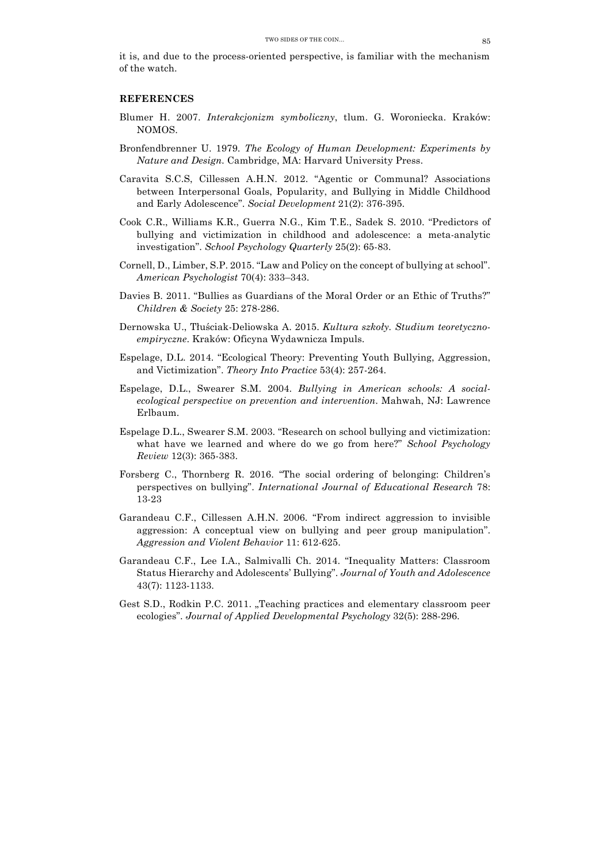it is, and due to the process-oriented perspective, is familiar with the mechanism of the watch.

## **REFERENCES**

- Blumer H. 2007. *Interakcjonizm symboliczny*, tlum. G. Woroniecka. Kraków: NOMOS.
- Bronfendbrenner U. 1979. *The Ecology of Human Development: Experiments by Nature and Design.* Cambridge, MA: Harvard University Press.
- Caravita S.C.S, Cillessen A.H.N. 2012. "Agentic or Communal? Associations between Interpersonal Goals, Popularity, and Bullying in Middle Childhood and Early Adolescence". *Social Development* 21(2): 376-395.
- Cook C.R., Williams K.R., Guerra N.G., Kim T.E., Sadek S. 2010. "Predictors of bullying and victimization in childhood and adolescence: a meta-analytic investigation". *School Psychology Quarterly* 25(2): 65-83.
- Cornell, D., Limber, S.P. 2015. "Law and Policy on the concept of bullying at school". *American Psychologist* 70(4): 333–343.
- Davies B. 2011. "Bullies as Guardians of the Moral Order or an Ethic of Truths?" *Children & Society* 25: 278-286.
- Dernowska U., Tłuściak-Deliowska A. 2015. *Kultura szkoły. Studium teoretycznoempiryczne*. Kraków: Oficyna Wydawnicza Impuls.
- Espelage, D.L. 2014. "Ecological Theory: Preventing Youth Bullying, Aggression, and Victimization". *Theory Into Practice* 53(4): 257-264.
- Espelage, D.L., Swearer S.M. 2004. *Bullying in American schools: A socialecological perspective on prevention and intervention*. Mahwah, NJ: Lawrence Erlbaum.
- Espelage D.L., Swearer S.M. 2003. "Research on school bullying and victimization: what have we learned and where do we go from here?" *School Psychology Review* 12(3): 365-383.
- Forsberg C., Thornberg R. 2016. "The social ordering of belonging: Children's perspectives on bullying". *International Journal of Educational Research* 78: 13-23
- Garandeau C.F., Cillessen A.H.N. 2006. "From indirect aggression to invisible aggression: A conceptual view on bullying and peer group manipulation". *Aggression and Violent Behavior* 11: 612-625.
- Garandeau C.F., Lee I.A., Salmivalli Ch. 2014. "Inequality Matters: Classroom Status Hierarchy and Adolescents' Bullying". *Journal of Youth and Adolescence* 43(7): 1123-1133.
- Gest S.D., Rodkin P.C. 2011. "Teaching practices and elementary classroom peer ecologies". *Journal of Applied Developmental Psychology* 32(5): 288-296.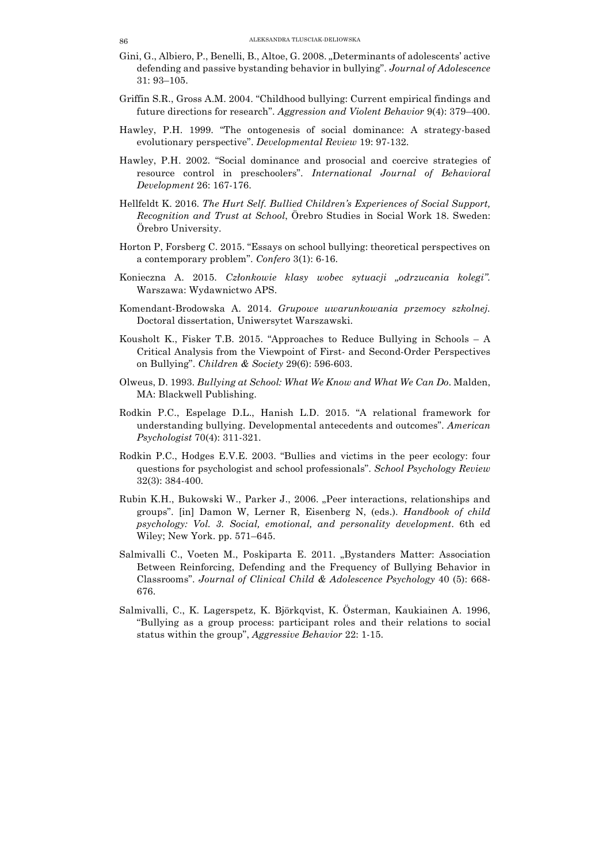- Gini, G., Albiero, P., Benelli, B., Altoe, G. 2008. "Determinants of adolescents' active defending and passive bystanding behavior in bullying". *Journal of Adolescence* 31: 93–105.
- Griffin S.R., Gross A.M. 2004. "Childhood bullying: Current empirical findings and future directions for research". *Aggression and Violent Behavior* 9(4): 379–400.
- Hawley, P.H. 1999. "The ontogenesis of social dominance: A strategy-based evolutionary perspective". *Developmental Review* 19: 97-132.
- Hawley, P.H. 2002. "Social dominance and prosocial and coercive strategies of resource control in preschoolers". *International Journal of Behavioral Development* 26: 167-176.
- Hellfeldt K. 2016. *The Hurt Self. Bullied Children's Experiences of Social Support, Recognition and Trust at School*, Örebro Studies in Social Work 18. Sweden: Örebro University.
- Horton P, Forsberg C. 2015. "Essays on school bullying: theoretical perspectives on a contemporary problem". *Confero* 3(1): 6-16.
- Konieczna A. 2015. *Członkowie klasy wobec sytuacji "odrzucania kolegi".* Warszawa: Wydawnictwo APS.
- Komendant-Brodowska A. 2014. *Grupowe uwarunkowania przemocy szkolnej.* Doctoral dissertation, Uniwersytet Warszawski.
- Kousholt K., Fisker T.B. 2015. "Approaches to Reduce Bullying in Schools A Critical Analysis from the Viewpoint of First- and Second-Order Perspectives on Bullying". *Children & Society* 29(6): 596-603.
- Olweus, D. 1993. *Bullying at School: What We Know and What We Can Do*. Malden, MA: Blackwell Publishing.
- Rodkin P.C., Espelage D.L., Hanish L.D. 2015. "A relational framework for understanding bullying. Developmental antecedents and outcomes". *American Psychologist* 70(4): 311-321.
- Rodkin P.C., Hodges E.V.E. 2003. "Bullies and victims in the peer ecology: four questions for psychologist and school professionals". *School Psychology Review* 32(3): 384-400.
- Rubin K.H., Bukowski W., Parker J., 2006. "Peer interactions, relationships and groups". [in] Damon W, Lerner R, Eisenberg N, (eds.). *Handbook of child psychology: Vol. 3. Social, emotional, and personality development*. 6th ed Wiley; New York. pp. 571–645.
- Salmivalli C., Voeten M., Poskiparta E. 2011. "Bystanders Matter: Association Between Reinforcing, Defending and the Frequency of Bullying Behavior in Classrooms". *Journal of Clinical Child & Adolescence Psychology* 40 (5): 668- 676.
- Salmivalli, C., K. Lagerspetz, K. Björkqvist, K. Österman, Kaukiainen A. 1996, "Bullying as a group process: participant roles and their relations to social status within the group", *Aggressive Behavior* 22: 1-15.